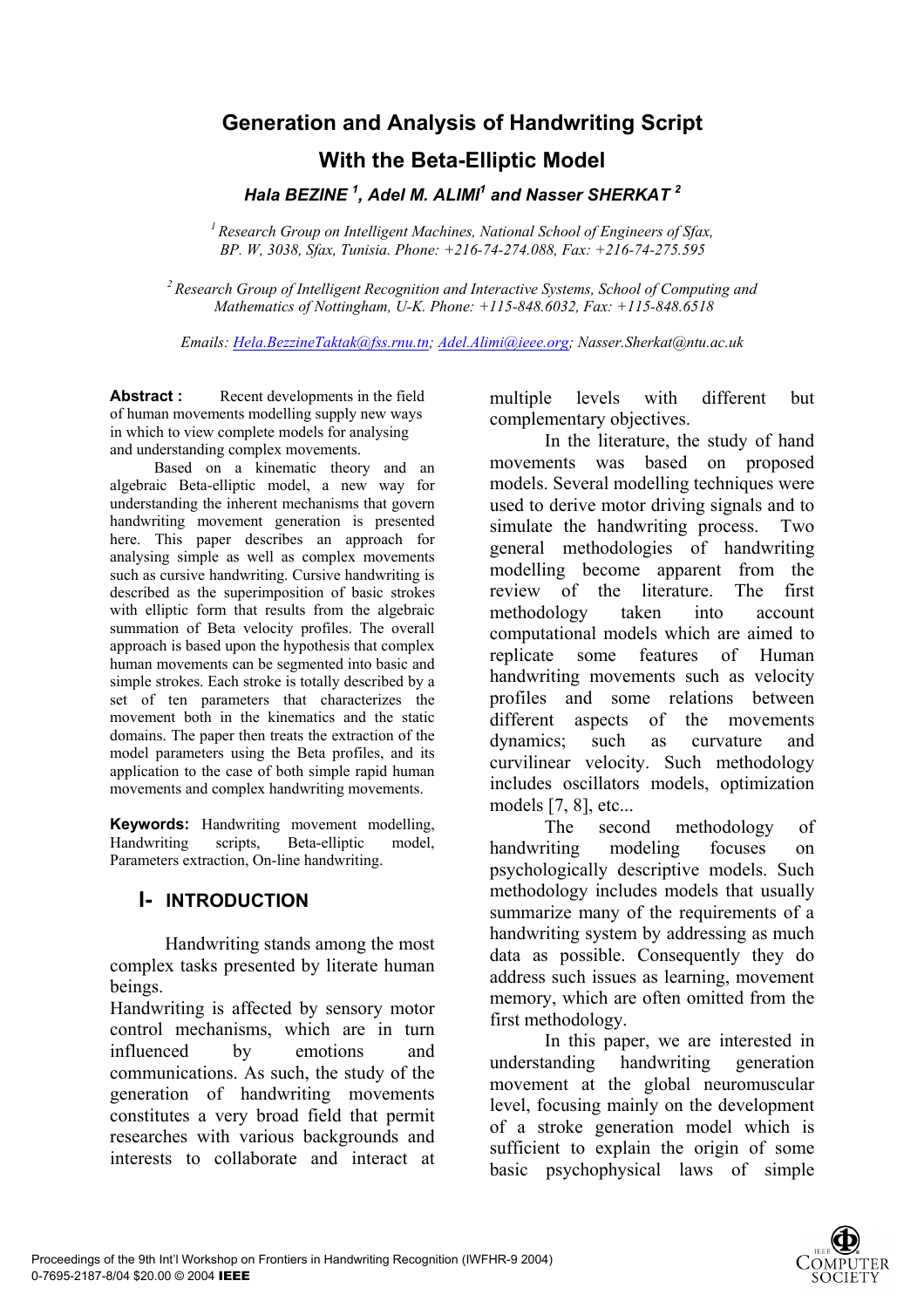# **Generation and Analysis of Handwriting Script With the Beta-Elliptic Model**

*Hala BEZINE <sup>1</sup> , Adel M. ALIMI1 and Nasser SHERKAT <sup>2</sup>*

*1 Research Group on Intelligent Machines, National School of Engineers of Sfax, BP. W, 3038, Sfax, Tunisia. Phone: +216-74-274.088, Fax: +216-74-275.595* 

*2 Research Group of Intelligent Recognition and Interactive Systems, School of Computing and Mathematics of Nottingham, U-K. Phone: +115-848.6032, Fax: +115-848.6518* 

*Emails: Hela.BezzineTaktak@fss.rnu.tn; Adel.Alimi@ieee.org; Nasser.Sherkat@ntu.ac.uk*

**Abstract :** Recent developments in the field of human movements modelling supply new ways in which to view complete models for analysing and understanding complex movements.

Based on a kinematic theory and an algebraic Beta-elliptic model, a new way for understanding the inherent mechanisms that govern handwriting movement generation is presented here. This paper describes an approach for analysing simple as well as complex movements such as cursive handwriting. Cursive handwriting is described as the superimposition of basic strokes with elliptic form that results from the algebraic summation of Beta velocity profiles. The overall approach is based upon the hypothesis that complex human movements can be segmented into basic and simple strokes. Each stroke is totally described by a set of ten parameters that characterizes the movement both in the kinematics and the static domains. The paper then treats the extraction of the model parameters using the Beta profiles, and its application to the case of both simple rapid human movements and complex handwriting movements.

**Keywords:** Handwriting movement modelling, Handwriting scripts, Beta-elliptic model, Parameters extraction, On-line handwriting.

### **I- INTRODUCTION**

Handwriting stands among the most complex tasks presented by literate human beings.

Handwriting is affected by sensory motor control mechanisms, which are in turn influenced by emotions and communications. As such, the study of the generation of handwriting movements constitutes a very broad field that permit researches with various backgrounds and interests to collaborate and interact at

multiple levels with different but complementary objectives.

In the literature, the study of hand movements was based on proposed models. Several modelling techniques were used to derive motor driving signals and to simulate the handwriting process. Two general methodologies of handwriting modelling become apparent from the review of the literature. The first methodology taken into account computational models which are aimed to replicate some features of Human handwriting movements such as velocity profiles and some relations between different aspects of the movements dynamics; such as curvature and curvilinear velocity. Such methodology includes oscillators models, optimization models [7, 8], etc...

 The second methodology of handwriting modeling focuses on psychologically descriptive models. Such methodology includes models that usually summarize many of the requirements of a handwriting system by addressing as much data as possible. Consequently they do address such issues as learning, movement memory, which are often omitted from the first methodology.

 In this paper, we are interested in understanding handwriting generation movement at the global neuromuscular level, focusing mainly on the development of a stroke generation model which is sufficient to explain the origin of some basic psychophysical laws of simple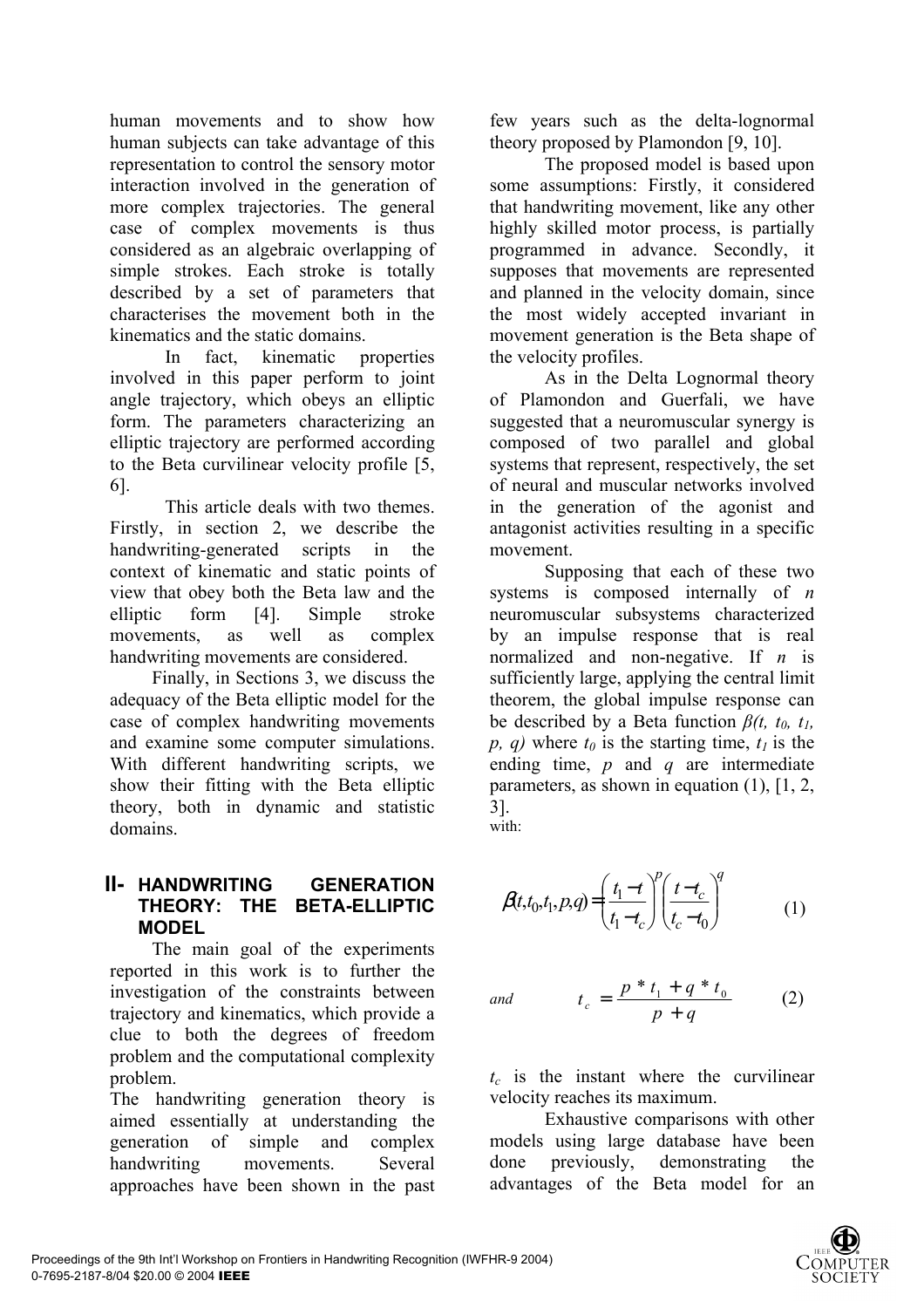human movements and to show how human subjects can take advantage of this representation to control the sensory motor interaction involved in the generation of more complex trajectories. The general case of complex movements is thus considered as an algebraic overlapping of simple strokes. Each stroke is totally described by a set of parameters that characterises the movement both in the kinematics and the static domains.

In fact, kinematic properties involved in this paper perform to joint angle trajectory, which obeys an elliptic form. The parameters characterizing an elliptic trajectory are performed according to the Beta curvilinear velocity profile [5, 6].

This article deals with two themes. Firstly, in section 2, we describe the handwriting-generated scripts in the context of kinematic and static points of view that obey both the Beta law and the elliptic form [4]. Simple stroke movements, as well as complex handwriting movements are considered.

Finally, in Sections 3, we discuss the adequacy of the Beta elliptic model for the case of complex handwriting movements and examine some computer simulations. With different handwriting scripts, we show their fitting with the Beta elliptic theory, both in dynamic and statistic domains.

# **II- HANDWRITING GENERATION THEORY: THE BETA-ELLIPTIC MODEL**

The main goal of the experiments reported in this work is to further the investigation of the constraints between trajectory and kinematics, which provide a clue to both the degrees of freedom problem and the computational complexity problem.

The handwriting generation theory is aimed essentially at understanding the generation of simple and complex handwriting movements. Several approaches have been shown in the past few years such as the delta-lognormal theory proposed by Plamondon [9, 10].

The proposed model is based upon some assumptions: Firstly, it considered that handwriting movement, like any other highly skilled motor process, is partially programmed in advance. Secondly, it supposes that movements are represented and planned in the velocity domain, since the most widely accepted invariant in movement generation is the Beta shape of the velocity profiles.

As in the Delta Lognormal theory of Plamondon and Guerfali, we have suggested that a neuromuscular synergy is composed of two parallel and global systems that represent, respectively, the set of neural and muscular networks involved in the generation of the agonist and antagonist activities resulting in a specific movement.

Supposing that each of these two systems is composed internally of *n* neuromuscular subsystems characterized by an impulse response that is real normalized and non-negative. If *n* is sufficiently large, applying the central limit theorem, the global impulse response can be described by a Beta function  $\beta(t, t_0, t_1)$ , *p, q)* where  $t_0$  is the starting time,  $t_1$  is the ending time, *p* and *q* are intermediate parameters, as shown in equation (1), [1, 2, 3].

with:

$$
\hat{\beta}(t, t_0, t_1, p, q) = \left(\frac{t_1 - t}{t_1 - t_c}\right)^p \left(\frac{t - t_c}{t_c - t_0}\right)^q \tag{1}
$$

and 
$$
t_c = \frac{p * t_1 + q * t_0}{p + q}
$$
 (2)

 $t_c$  is the instant where the curvilinear velocity reaches its maximum.

 Exhaustive comparisons with other models using large database have been done previously, demonstrating the advantages of the Beta model for an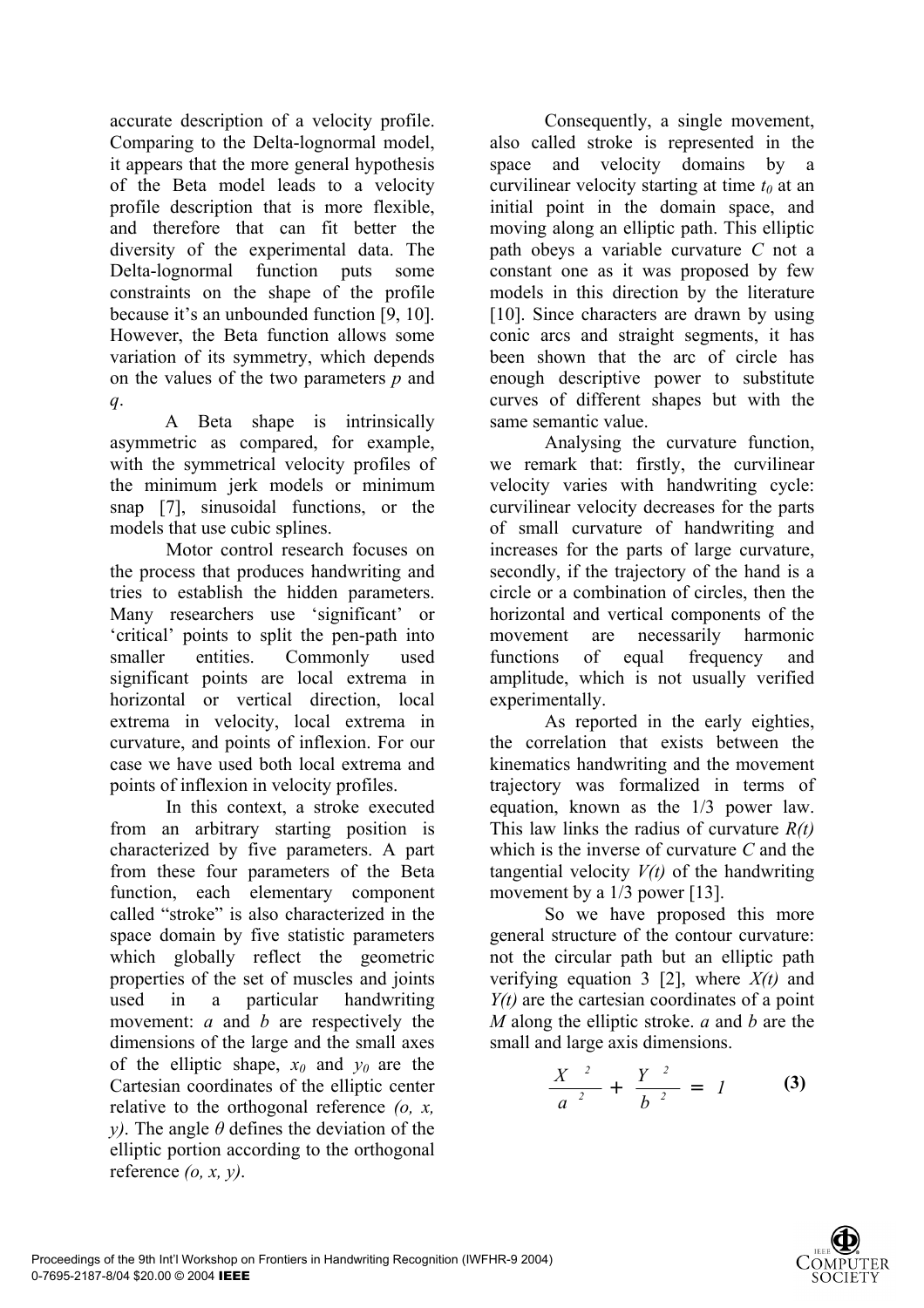accurate description of a velocity profile. Comparing to the Delta-lognormal model, it appears that the more general hypothesis of the Beta model leads to a velocity profile description that is more flexible, and therefore that can fit better the diversity of the experimental data. The Delta-lognormal function puts some constraints on the shape of the profile because it's an unbounded function [9, 10]. However, the Beta function allows some variation of its symmetry, which depends on the values of the two parameters *p* and *q*.

 A Beta shape is intrinsically asymmetric as compared, for example, with the symmetrical velocity profiles of the minimum jerk models or minimum snap [7], sinusoidal functions, or the models that use cubic splines.

Motor control research focuses on the process that produces handwriting and tries to establish the hidden parameters. Many researchers use 'significant' or 'critical' points to split the pen-path into smaller entities. Commonly used significant points are local extrema in horizontal or vertical direction, local extrema in velocity, local extrema in curvature, and points of inflexion. For our case we have used both local extrema and points of inflexion in velocity profiles.

In this context, a stroke executed from an arbitrary starting position is characterized by five parameters. A part from these four parameters of the Beta function, each elementary component called "stroke" is also characterized in the space domain by five statistic parameters which globally reflect the geometric properties of the set of muscles and joints used in a particular handwriting movement: *a* and *b* are respectively the dimensions of the large and the small axes of the elliptic shape,  $x_0$  and  $y_0$  are the Cartesian coordinates of the elliptic center relative to the orthogonal reference *(o, x, y)*. The angle *θ* defines the deviation of the elliptic portion according to the orthogonal reference *(o, x, y)*.

Consequently, a single movement, also called stroke is represented in the space and velocity domains by a curvilinear velocity starting at time  $t_0$  at an initial point in the domain space, and moving along an elliptic path. This elliptic path obeys a variable curvature *C* not a constant one as it was proposed by few models in this direction by the literature [10]. Since characters are drawn by using conic arcs and straight segments, it has been shown that the arc of circle has enough descriptive power to substitute curves of different shapes but with the same semantic value.

Analysing the curvature function, we remark that: firstly, the curvilinear velocity varies with handwriting cycle: curvilinear velocity decreases for the parts of small curvature of handwriting and increases for the parts of large curvature, secondly, if the trajectory of the hand is a circle or a combination of circles, then the horizontal and vertical components of the movement are necessarily harmonic functions of equal frequency and amplitude, which is not usually verified experimentally.

As reported in the early eighties, the correlation that exists between the kinematics handwriting and the movement trajectory was formalized in terms of equation, known as the 1/3 power law. This law links the radius of curvature *R(t)* which is the inverse of curvature *C* and the tangential velocity  $V(t)$  of the handwriting movement by a 1/3 power [13].

So we have proposed this more general structure of the contour curvature: not the circular path but an elliptic path verifying equation  $3 \,$  [2], where  $X(t)$  and *Y(t)* are the cartesian coordinates of a point *M* along the elliptic stroke. *a* and *b* are the small and large axis dimensions.

$$
\frac{X^{-2}}{a^{-2}} + \frac{Y^{-2}}{b^{-2}} = 1
$$
 (3)

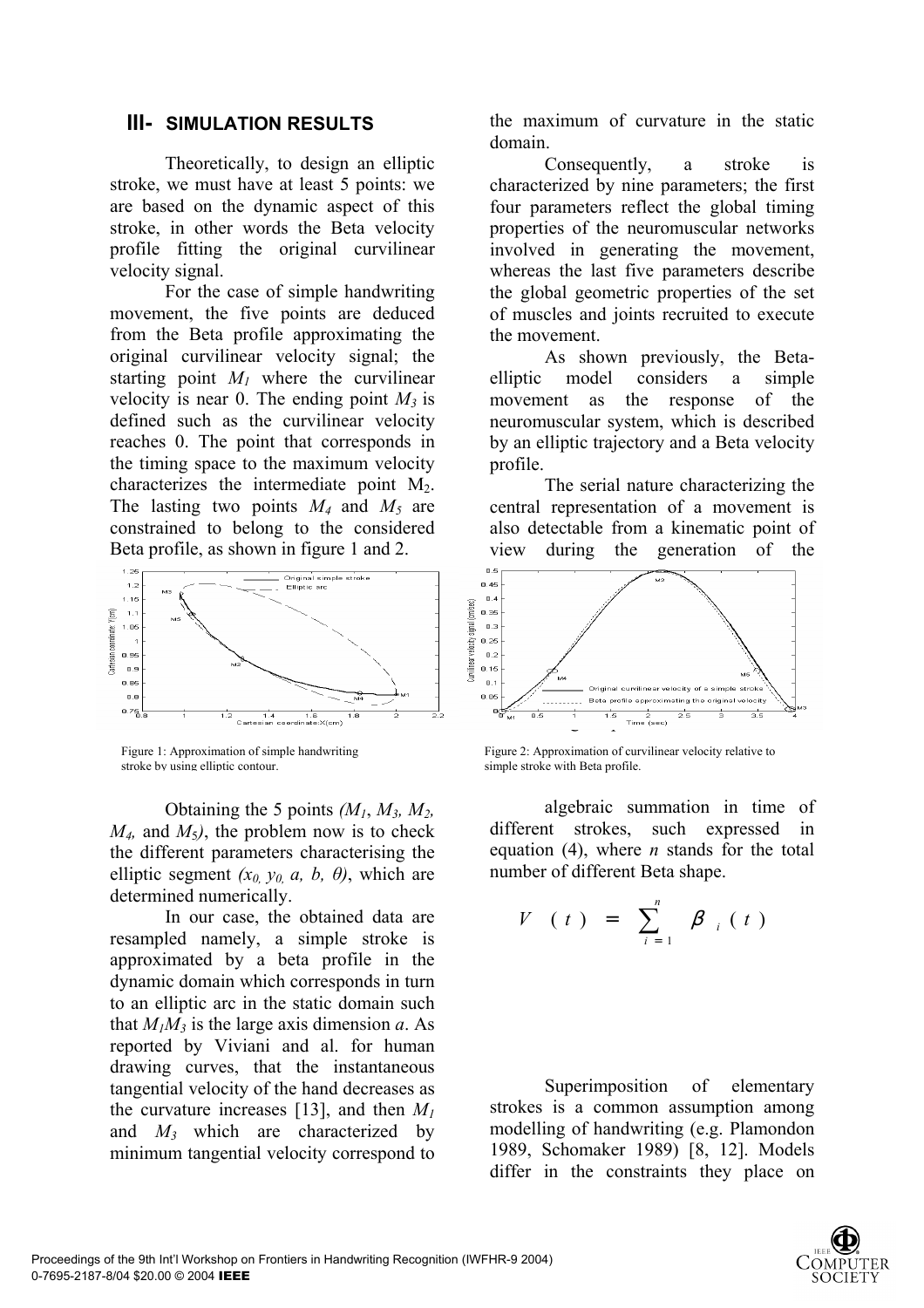### **III- SIMULATION RESULTS**

Theoretically, to design an elliptic stroke, we must have at least 5 points: we are based on the dynamic aspect of this stroke, in other words the Beta velocity profile fitting the original curvilinear velocity signal.

For the case of simple handwriting movement, the five points are deduced from the Beta profile approximating the original curvilinear velocity signal; the starting point  $M_1$  where the curvilinear velocity is near 0. The ending point  $M_3$  is defined such as the curvilinear velocity reaches 0. The point that corresponds in the timing space to the maximum velocity characterizes the intermediate point  $M_2$ . The lasting two points  $M_4$  and  $M_5$  are constrained to belong to the considered Beta profile, as shown in figure 1 and 2.



Figure 1: Approximation of simple handwriting stroke by using elliptic contour.

Obtaining the 5 points  $(M_1, M_3, M_2)$  $M_4$ , and  $M_5$ ), the problem now is to check the different parameters characterising the elliptic segment  $(x_0, y_0, a, b, \theta)$ , which are determined numerically.

In our case, the obtained data are resampled namely, a simple stroke is approximated by a beta profile in the dynamic domain which corresponds in turn to an elliptic arc in the static domain such that  $M_1M_3$  is the large axis dimension *a*. As reported by Viviani and al. for human drawing curves, that the instantaneous tangential velocity of the hand decreases as the curvature increases [13], and then  $M_1$ and *M3* which are characterized by minimum tangential velocity correspond to

the maximum of curvature in the static domain.

Consequently, a stroke is characterized by nine parameters; the first four parameters reflect the global timing properties of the neuromuscular networks involved in generating the movement, whereas the last five parameters describe the global geometric properties of the set of muscles and joints recruited to execute the movement.

As shown previously, the Betaelliptic model considers a simple movement as the response of the neuromuscular system, which is described by an elliptic trajectory and a Beta velocity profile.

The serial nature characterizing the central representation of a movement is also detectable from a kinematic point of view during the generation of the



Figure 2: Approximation of curvilinear velocity relative to simple stroke with Beta profile.

algebraic summation in time of different strokes, such expressed in equation (4), where *n* stands for the total number of different Beta shape.

$$
V(t) = \sum_{i=1}^{n} \beta_{i}(t)
$$

Superimposition of elementary strokes is a common assumption among modelling of handwriting (e.g. Plamondon 1989, Schomaker 1989) [8, 12]. Models differ in the constraints they place on

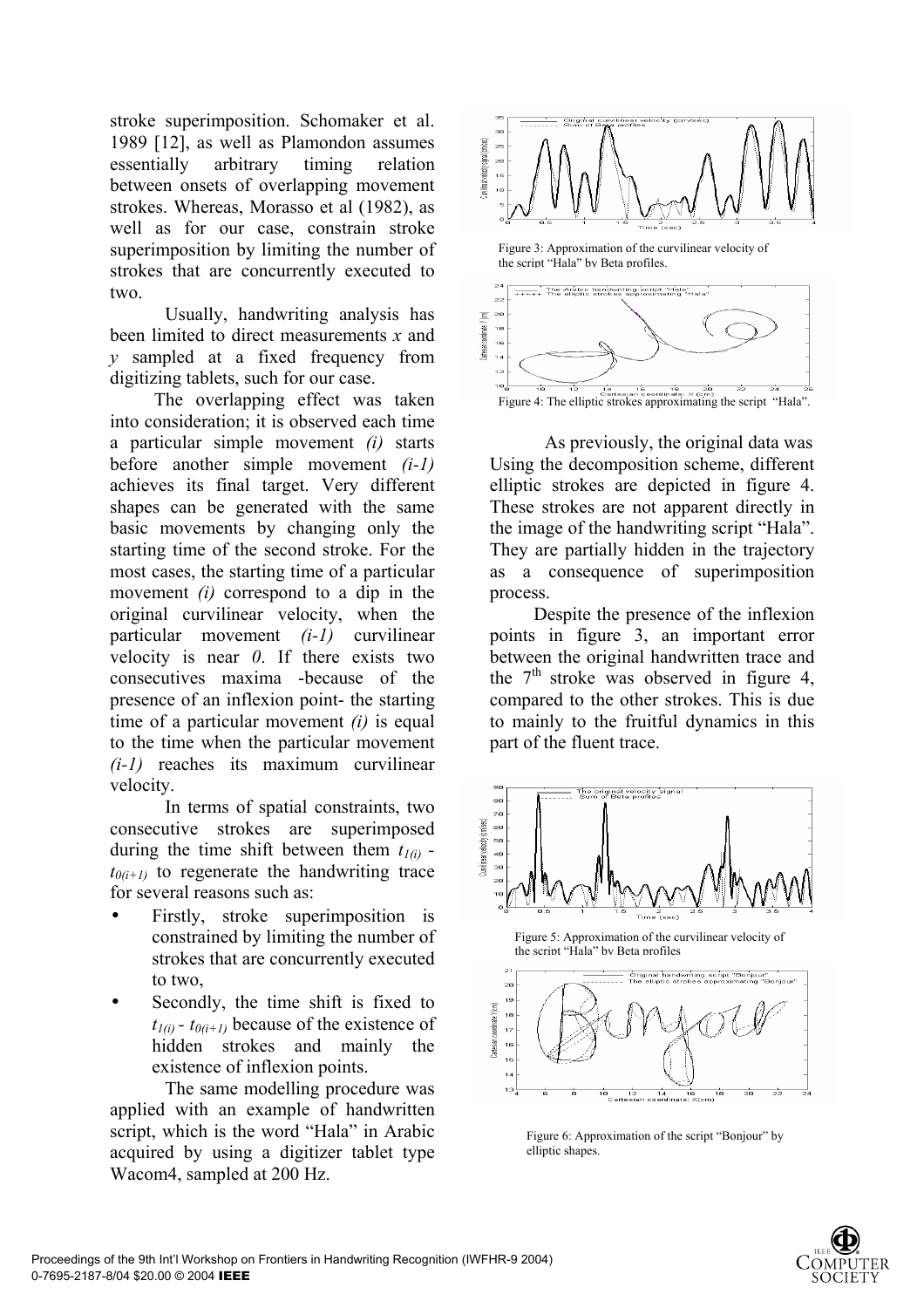stroke superimposition. Schomaker et al. 1989 [12], as well as Plamondon assumes essentially arbitrary timing relation between onsets of overlapping movement strokes. Whereas, Morasso et al (1982), as well as for our case, constrain stroke superimposition by limiting the number of strokes that are concurrently executed to two.

Usually, handwriting analysis has been limited to direct measurements *x* and *y* sampled at a fixed frequency from digitizing tablets, such for our case.

The overlapping effect was taken into consideration; it is observed each time a particular simple movement *(i)* starts before another simple movement *(i-1)* achieves its final target. Very different shapes can be generated with the same basic movements by changing only the starting time of the second stroke. For the most cases, the starting time of a particular movement *(i)* correspond to a dip in the original curvilinear velocity, when the particular movement *(i-1)* curvilinear velocity is near *0*. If there exists two consecutives maxima -because of the presence of an inflexion point- the starting time of a particular movement *(i)* is equal to the time when the particular movement *(i-1)* reaches its maximum curvilinear velocity.

In terms of spatial constraints, two consecutive strokes are superimposed during the time shift between them  $t_{1(i)}$   $t_{0(i+1)}$  to regenerate the handwriting trace for several reasons such as:

- Firstly, stroke superimposition is constrained by limiting the number of strokes that are concurrently executed to two,
- Secondly, the time shift is fixed to  $t_{1(i)}$  -  $t_{0(i+1)}$  because of the existence of hidden strokes and mainly the existence of inflexion points.

The same modelling procedure was applied with an example of handwritten script, which is the word "Hala" in Arabic acquired by using a digitizer tablet type Wacom4, sampled at 200 Hz.



Figure 4: The elliptic strokes approximating the script "Hala".

As previously, the original data was Using the decomposition scheme, different elliptic strokes are depicted in figure 4. These strokes are not apparent directly in the image of the handwriting script "Hala". They are partially hidden in the trajectory as a consequence of superimposition process.

Despite the presence of the inflexion points in figure 3, an important error between the original handwritten trace and the  $7<sup>th</sup>$  stroke was observed in figure 4, compared to the other strokes. This is due to mainly to the fruitful dynamics in this part of the fluent trace.



Figure 6: Approximation of the script "Bonjour" by elliptic shapes.